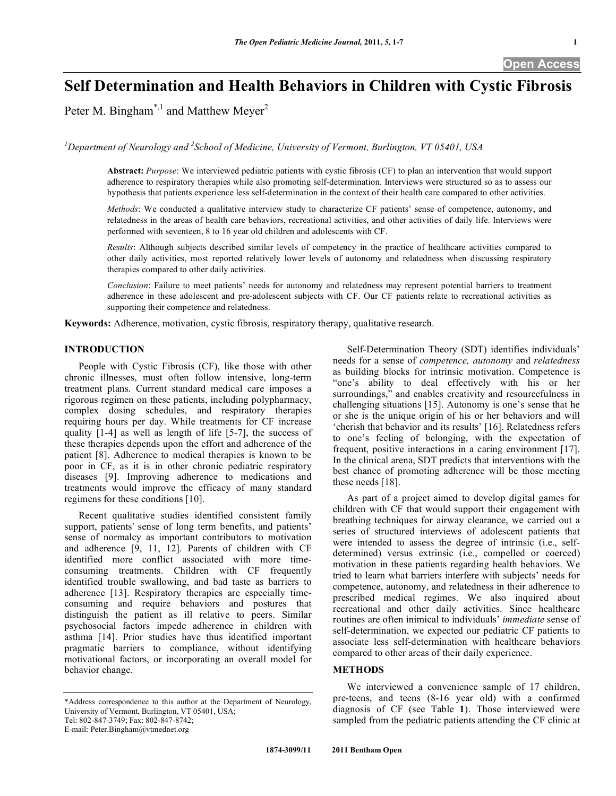# **Self Determination and Health Behaviors in Children with Cystic Fibrosis**

Peter M. Bingham<sup>\*,1</sup> and Matthew Meyer<sup>2</sup>

<sup>1</sup>Department of Neurology and <sup>2</sup> School of Medicine, University of Vermont, Burlington, VT 05401, USA

**Abstract:** *Purpose*: We interviewed pediatric patients with cystic fibrosis (CF) to plan an intervention that would support adherence to respiratory therapies while also promoting self-determination. Interviews were structured so as to assess our hypothesis that patients experience less self-determination in the context of their health care compared to other activities.

*Methods*: We conducted a qualitative interview study to characterize CF patients' sense of competence, autonomy, and relatedness in the areas of health care behaviors, recreational activities, and other activities of daily life. Interviews were performed with seventeen, 8 to 16 year old children and adolescents with CF.

*Results*: Although subjects described similar levels of competency in the practice of healthcare activities compared to other daily activities, most reported relatively lower levels of autonomy and relatedness when discussing respiratory therapies compared to other daily activities.

*Conclusion*: Failure to meet patients' needs for autonomy and relatedness may represent potential barriers to treatment adherence in these adolescent and pre-adolescent subjects with CF. Our CF patients relate to recreational activities as supporting their competence and relatedness.

**Keywords:** Adherence, motivation, cystic fibrosis, respiratory therapy, qualitative research.

# **INTRODUCTION**

 People with Cystic Fibrosis (CF), like those with other chronic illnesses, must often follow intensive, long-term treatment plans. Current standard medical care imposes a rigorous regimen on these patients, including polypharmacy, complex dosing schedules, and respiratory therapies requiring hours per day. While treatments for CF increase quality [1-4] as well as length of life [5-7], the success of these therapies depends upon the effort and adherence of the patient [8]. Adherence to medical therapies is known to be poor in CF, as it is in other chronic pediatric respiratory diseases [9]. Improving adherence to medications and treatments would improve the efficacy of many standard regimens for these conditions [10].

 Recent qualitative studies identified consistent family support, patients' sense of long term benefits, and patients' sense of normalcy as important contributors to motivation and adherence [9, 11, 12]. Parents of children with CF identified more conflict associated with more timeconsuming treatments. Children with CF frequently identified trouble swallowing, and bad taste as barriers to adherence [13]. Respiratory therapies are especially timeconsuming and require behaviors and postures that distinguish the patient as ill relative to peers. Similar psychosocial factors impede adherence in children with asthma [14]. Prior studies have thus identified important pragmatic barriers to compliance, without identifying motivational factors, or incorporating an overall model for behavior change.

\*Address correspondence to this author at the Department of Neurology, University of Vermont, Burlington, VT 05401, USA; Tel: 802-847-3749; Fax: 802-847-8742;

E-mail: Peter.Bingham@vtmednet.org

 Self-Determination Theory (SDT) identifies individuals' needs for a sense of *competence, autonomy* and *relatedness*  as building blocks for intrinsic motivation. Competence is "one's ability to deal effectively with his or her surroundings," and enables creativity and resourcefulness in challenging situations [15]. Autonomy is one's sense that he or she is the unique origin of his or her behaviors and will 'cherish that behavior and its results' [16]. Relatedness refers to one's feeling of belonging, with the expectation of frequent, positive interactions in a caring environment [17]. In the clinical arena, SDT predicts that interventions with the best chance of promoting adherence will be those meeting these needs [18].

 As part of a project aimed to develop digital games for children with CF that would support their engagement with breathing techniques for airway clearance, we carried out a series of structured interviews of adolescent patients that were intended to assess the degree of intrinsic (i.e., selfdetermined) versus extrinsic (i.e., compelled or coerced) motivation in these patients regarding health behaviors. We tried to learn what barriers interfere with subjects' needs for competence, autonomy, and relatedness in their adherence to prescribed medical regimes. We also inquired about recreational and other daily activities. Since healthcare routines are often inimical to individuals' *immediate* sense of self-determination, we expected our pediatric CF patients to associate less self-determination with healthcare behaviors compared to other areas of their daily experience.

# **METHODS**

We interviewed a convenience sample of 17 children. pre-teens, and teens (8-16 year old) with a confirmed diagnosis of CF (see Table **1**). Those interviewed were sampled from the pediatric patients attending the CF clinic at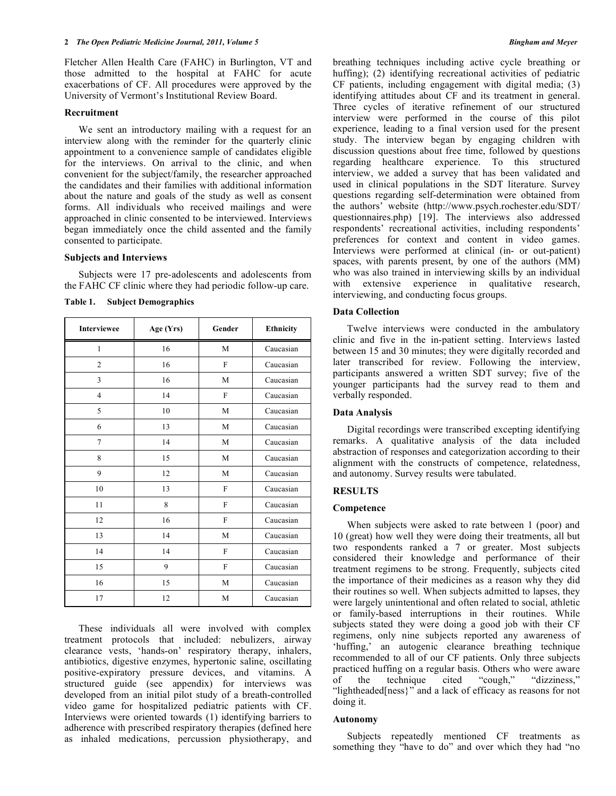Fletcher Allen Health Care (FAHC) in Burlington, VT and those admitted to the hospital at FAHC for acute exacerbations of CF. All procedures were approved by the University of Vermont's Institutional Review Board.

## **Recruitment**

We sent an introductory mailing with a request for an interview along with the reminder for the quarterly clinic appointment to a convenience sample of candidates eligible for the interviews. On arrival to the clinic, and when convenient for the subject/family, the researcher approached the candidates and their families with additional information about the nature and goals of the study as well as consent forms. All individuals who received mailings and were approached in clinic consented to be interviewed. Interviews began immediately once the child assented and the family consented to participate.

# **Subjects and Interviews**

 Subjects were 17 pre-adolescents and adolescents from the FAHC CF clinic where they had periodic follow-up care.

**Table 1. Subject Demographics** 

| <b>Interviewee</b> | Age (Yrs) | Gender       | Ethnicity |
|--------------------|-----------|--------------|-----------|
| $\mathbf{1}$       | 16        | M            | Caucasian |
| $\overline{2}$     | 16        | F            | Caucasian |
| 3                  | 16        | M            | Caucasian |
| $\overline{4}$     | 14        | F            | Caucasian |
| 5                  | 10        | M            | Caucasian |
| 6                  | 13        | M            | Caucasian |
| 7                  | 14        | M            | Caucasian |
| 8                  | 15        | M            | Caucasian |
| 9                  | 12        | M            | Caucasian |
| 10                 | 13        | F            | Caucasian |
| 11                 | 8         | $\mathbf{F}$ | Caucasian |
| 12                 | 16        | F            | Caucasian |
| 13                 | 14        | M            | Caucasian |
| 14                 | 14        | F            | Caucasian |
| 15                 | 9         | F            | Caucasian |
| 16                 | 15        | M            | Caucasian |
| 17                 | 12        | M            | Caucasian |

 These individuals all were involved with complex treatment protocols that included: nebulizers, airway clearance vests, 'hands-on' respiratory therapy, inhalers, antibiotics, digestive enzymes, hypertonic saline, oscillating positive-expiratory pressure devices, and vitamins. A structured guide (see appendix) for interviews was developed from an initial pilot study of a breath-controlled video game for hospitalized pediatric patients with CF. Interviews were oriented towards (1) identifying barriers to adherence with prescribed respiratory therapies (defined here as inhaled medications, percussion physiotherapy, and

breathing techniques including active cycle breathing or huffing); (2) identifying recreational activities of pediatric CF patients, including engagement with digital media; (3) identifying attitudes about CF and its treatment in general. Three cycles of iterative refinement of our structured interview were performed in the course of this pilot experience, leading to a final version used for the present study. The interview began by engaging children with discussion questions about free time, followed by questions regarding healthcare experience. To this structured interview, we added a survey that has been validated and used in clinical populations in the SDT literature. Survey questions regarding self-determination were obtained from the authors' website (http://www.psych.rochester.edu/SDT/ questionnaires.php) [19]. The interviews also addressed respondents' recreational activities, including respondents' preferences for context and content in video games. Interviews were performed at clinical (in- or out-patient) spaces, with parents present, by one of the authors (MM) who was also trained in interviewing skills by an individual with extensive experience in qualitative research, interviewing, and conducting focus groups.

# **Data Collection**

 Twelve interviews were conducted in the ambulatory clinic and five in the in-patient setting. Interviews lasted between 15 and 30 minutes; they were digitally recorded and later transcribed for review. Following the interview, participants answered a written SDT survey; five of the younger participants had the survey read to them and verbally responded.

# **Data Analysis**

 Digital recordings were transcribed excepting identifying remarks. A qualitative analysis of the data included abstraction of responses and categorization according to their alignment with the constructs of competence, relatedness, and autonomy. Survey results were tabulated.

#### **RESULTS**

#### **Competence**

 When subjects were asked to rate between 1 (poor) and 10 (great) how well they were doing their treatments, all but two respondents ranked a 7 or greater. Most subjects considered their knowledge and performance of their treatment regimens to be strong. Frequently, subjects cited the importance of their medicines as a reason why they did their routines so well. When subjects admitted to lapses, they were largely unintentional and often related to social, athletic or family-based interruptions in their routines. While subjects stated they were doing a good job with their CF regimens, only nine subjects reported any awareness of 'huffing,' an autogenic clearance breathing technique recommended to all of our CF patients. Only three subjects practiced huffing on a regular basis. Others who were aware<br>of the technique cited "cough," "dizziness," of the technique cited "cough," "dizziness," "lightheaded[ness}" and a lack of efficacy as reasons for not doing it.

# **Autonomy**

 Subjects repeatedly mentioned CF treatments as something they "have to do" and over which they had "no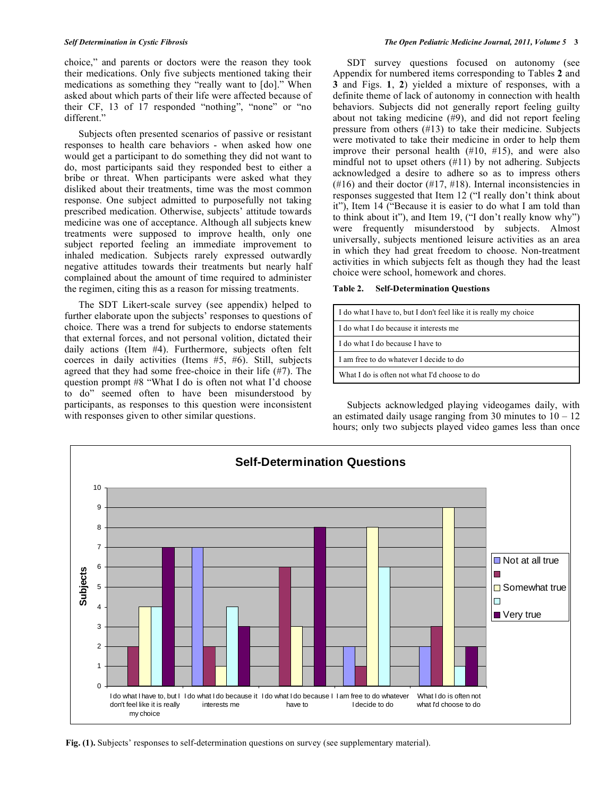choice," and parents or doctors were the reason they took their medications. Only five subjects mentioned taking their medications as something they "really want to [do]." When asked about which parts of their life were affected because of their CF, 13 of 17 responded "nothing", "none" or "no different."

 Subjects often presented scenarios of passive or resistant responses to health care behaviors - when asked how one would get a participant to do something they did not want to do, most participants said they responded best to either a bribe or threat. When participants were asked what they disliked about their treatments, time was the most common response. One subject admitted to purposefully not taking prescribed medication. Otherwise, subjects' attitude towards medicine was one of acceptance. Although all subjects knew treatments were supposed to improve health, only one subject reported feeling an immediate improvement to inhaled medication. Subjects rarely expressed outwardly negative attitudes towards their treatments but nearly half complained about the amount of time required to administer the regimen, citing this as a reason for missing treatments.

 The SDT Likert-scale survey (see appendix) helped to further elaborate upon the subjects' responses to questions of choice. There was a trend for subjects to endorse statements that external forces, and not personal volition, dictated their daily actions (Item #4). Furthermore, subjects often felt coerces in daily activities (Items #5, #6). Still, subjects agreed that they had some free-choice in their life (#7). The question prompt #8 "What I do is often not what I'd choose to do" seemed often to have been misunderstood by participants, as responses to this question were inconsistent with responses given to other similar questions.

 SDT survey questions focused on autonomy (see Appendix for numbered items corresponding to Tables **2** and **3** and Figs. **1**, **2**) yielded a mixture of responses, with a definite theme of lack of autonomy in connection with health behaviors. Subjects did not generally report feeling guilty about not taking medicine (#9), and did not report feeling pressure from others (#13) to take their medicine. Subjects were motivated to take their medicine in order to help them improve their personal health (#10, #15), and were also mindful not to upset others (#11) by not adhering. Subjects acknowledged a desire to adhere so as to impress others (#16) and their doctor (#17, #18). Internal inconsistencies in responses suggested that Item 12 ("I really don't think about it"), Item 14 ("Because it is easier to do what I am told than to think about it"), and Item 19, ("I don't really know why") were frequently misunderstood by subjects. Almost universally, subjects mentioned leisure activities as an area in which they had great freedom to choose. Non-treatment activities in which subjects felt as though they had the least choice were school, homework and chores.

**Table 2. Self-Determination Questions** 

| I do what I have to, but I don't feel like it is really my choice |  |
|-------------------------------------------------------------------|--|
| I do what I do because it interests me                            |  |
| I do what I do because I have to                                  |  |
| I am free to do whatever I decide to do                           |  |
| What I do is often not what I'd choose to do                      |  |

 Subjects acknowledged playing videogames daily, with an estimated daily usage ranging from 30 minutes to  $10 - 12$ hours; only two subjects played video games less than once



**Fig. (1).** Subjects' responses to self-determination questions on survey (see supplementary material).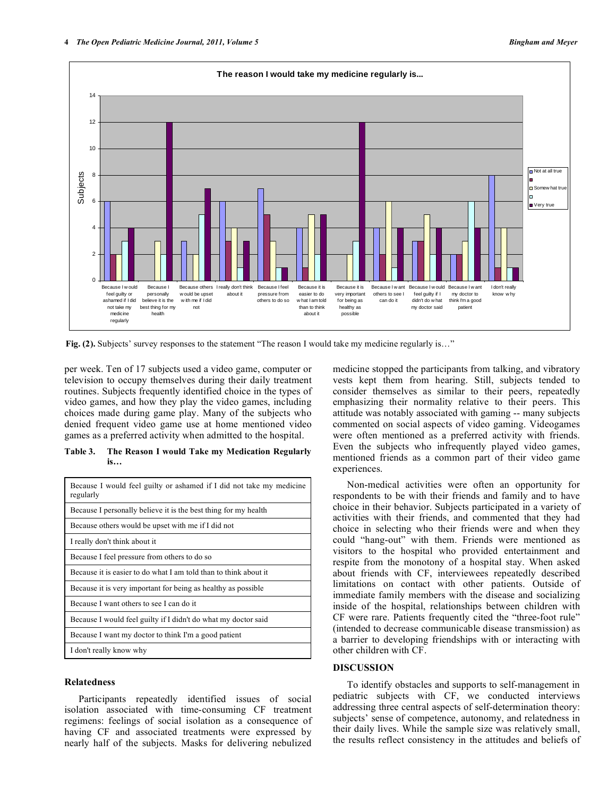

**Fig. (2).** Subjects' survey responses to the statement "The reason I would take my medicine regularly is..."

per week. Ten of 17 subjects used a video game, computer or television to occupy themselves during their daily treatment routines. Subjects frequently identified choice in the types of video games, and how they play the video games, including choices made during game play. Many of the subjects who denied frequent video game use at home mentioned video games as a preferred activity when admitted to the hospital.

# **Table 3. The Reason I would Take my Medication Regularly is…**

| Because I would feel guilty or ashamed if I did not take my medicine<br>regularly |  |
|-----------------------------------------------------------------------------------|--|
| Because I personally believe it is the best thing for my health                   |  |
| Because others would be upset with me if I did not                                |  |
| I really don't think about it                                                     |  |
| Because I feel pressure from others to do so                                      |  |
| Because it is easier to do what I am told than to think about it                  |  |
| Because it is very important for being as healthy as possible                     |  |
| Because I want others to see I can do it                                          |  |
| Because I would feel guilty if I didn't do what my doctor said                    |  |
| Because I want my doctor to think I'm a good patient                              |  |
| I don't really know why                                                           |  |

# **Relatedness**

 Participants repeatedly identified issues of social isolation associated with time-consuming CF treatment regimens: feelings of social isolation as a consequence of having CF and associated treatments were expressed by nearly half of the subjects. Masks for delivering nebulized

medicine stopped the participants from talking, and vibratory vests kept them from hearing. Still, subjects tended to consider themselves as similar to their peers, repeatedly emphasizing their normality relative to their peers. This attitude was notably associated with gaming -- many subjects commented on social aspects of video gaming. Videogames were often mentioned as a preferred activity with friends. Even the subjects who infrequently played video games, mentioned friends as a common part of their video game experiences.

 Non-medical activities were often an opportunity for respondents to be with their friends and family and to have choice in their behavior. Subjects participated in a variety of activities with their friends, and commented that they had choice in selecting who their friends were and when they could "hang-out" with them. Friends were mentioned as visitors to the hospital who provided entertainment and respite from the monotony of a hospital stay. When asked about friends with CF, interviewees repeatedly described limitations on contact with other patients. Outside of immediate family members with the disease and socializing inside of the hospital, relationships between children with CF were rare. Patients frequently cited the "three-foot rule" (intended to decrease communicable disease transmission) as a barrier to developing friendships with or interacting with other children with CF.

# **DISCUSSION**

 To identify obstacles and supports to self-management in pediatric subjects with CF, we conducted interviews addressing three central aspects of self-determination theory: subjects' sense of competence, autonomy, and relatedness in their daily lives. While the sample size was relatively small, the results reflect consistency in the attitudes and beliefs of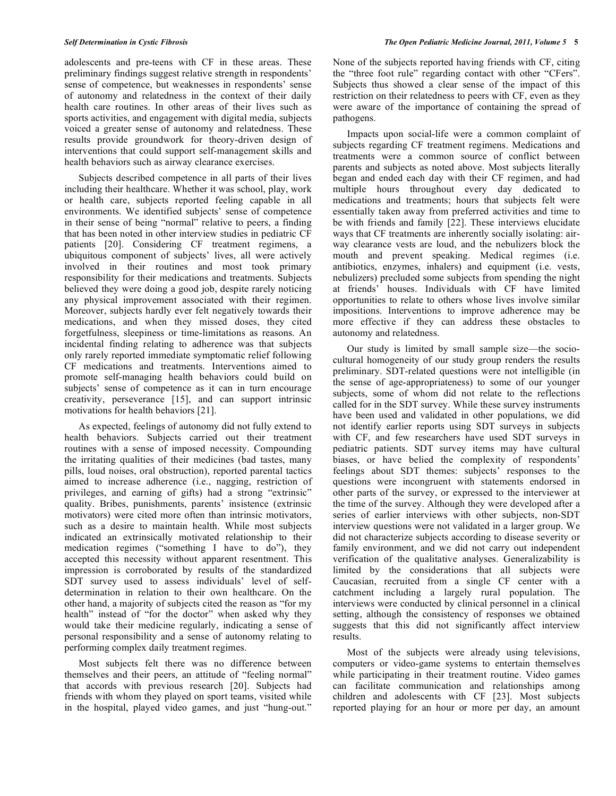adolescents and pre-teens with CF in these areas. These preliminary findings suggest relative strength in respondents' sense of competence, but weaknesses in respondents' sense of autonomy and relatedness in the context of their daily health care routines. In other areas of their lives such as sports activities, and engagement with digital media, subjects voiced a greater sense of autonomy and relatedness. These results provide groundwork for theory-driven design of interventions that could support self-management skills and health behaviors such as airway clearance exercises.

 Subjects described competence in all parts of their lives including their healthcare. Whether it was school, play, work or health care, subjects reported feeling capable in all environments. We identified subjects' sense of competence in their sense of being "normal" relative to peers, a finding that has been noted in other interview studies in pediatric CF patients [20]. Considering CF treatment regimens, a ubiquitous component of subjects' lives, all were actively involved in their routines and most took primary responsibility for their medications and treatments. Subjects believed they were doing a good job, despite rarely noticing any physical improvement associated with their regimen. Moreover, subjects hardly ever felt negatively towards their medications, and when they missed doses, they cited forgetfulness, sleepiness or time-limitations as reasons. An incidental finding relating to adherence was that subjects only rarely reported immediate symptomatic relief following CF medications and treatments. Interventions aimed to promote self-managing health behaviors could build on subjects' sense of competence as it can in turn encourage creativity, perseverance [15], and can support intrinsic motivations for health behaviors [21].

 As expected, feelings of autonomy did not fully extend to health behaviors. Subjects carried out their treatment routines with a sense of imposed necessity. Compounding the irritating qualities of their medicines (bad tastes, many pills, loud noises, oral obstruction), reported parental tactics aimed to increase adherence (i.e., nagging, restriction of privileges, and earning of gifts) had a strong "extrinsic" quality. Bribes, punishments, parents' insistence (extrinsic motivators) were cited more often than intrinsic motivators, such as a desire to maintain health. While most subjects indicated an extrinsically motivated relationship to their medication regimes ("something I have to do"), they accepted this necessity without apparent resentment. This impression is corroborated by results of the standardized SDT survey used to assess individuals' level of selfdetermination in relation to their own healthcare. On the other hand, a majority of subjects cited the reason as "for my health" instead of "for the doctor" when asked why they would take their medicine regularly, indicating a sense of personal responsibility and a sense of autonomy relating to performing complex daily treatment regimes.

 Most subjects felt there was no difference between themselves and their peers, an attitude of "feeling normal" that accords with previous research [20]. Subjects had friends with whom they played on sport teams, visited while in the hospital, played video games, and just "hung-out."

None of the subjects reported having friends with CF, citing the "three foot rule" regarding contact with other "CFers". Subjects thus showed a clear sense of the impact of this restriction on their relatedness to peers with CF, even as they were aware of the importance of containing the spread of pathogens.

 Impacts upon social-life were a common complaint of subjects regarding CF treatment regimens. Medications and treatments were a common source of conflict between parents and subjects as noted above. Most subjects literally began and ended each day with their CF regimen, and had multiple hours throughout every day dedicated to medications and treatments; hours that subjects felt were essentially taken away from preferred activities and time to be with friends and family [22]. These interviews elucidate ways that CF treatments are inherently socially isolating: airway clearance vests are loud, and the nebulizers block the mouth and prevent speaking. Medical regimes (i.e. antibiotics, enzymes, inhalers) and equipment (i.e. vests, nebulizers) precluded some subjects from spending the night at friends' houses. Individuals with CF have limited opportunities to relate to others whose lives involve similar impositions. Interventions to improve adherence may be more effective if they can address these obstacles to autonomy and relatedness.

 Our study is limited by small sample size—the sociocultural homogeneity of our study group renders the results preliminary. SDT-related questions were not intelligible (in the sense of age-appropriateness) to some of our younger subjects, some of whom did not relate to the reflections called for in the SDT survey. While these survey instruments have been used and validated in other populations, we did not identify earlier reports using SDT surveys in subjects with CF, and few researchers have used SDT surveys in pediatric patients. SDT survey items may have cultural biases, or have belied the complexity of respondents' feelings about SDT themes: subjects' responses to the questions were incongruent with statements endorsed in other parts of the survey, or expressed to the interviewer at the time of the survey. Although they were developed after a series of earlier interviews with other subjects, non-SDT interview questions were not validated in a larger group. We did not characterize subjects according to disease severity or family environment, and we did not carry out independent verification of the qualitative analyses. Generalizability is limited by the considerations that all subjects were Caucasian, recruited from a single CF center with a catchment including a largely rural population. The interviews were conducted by clinical personnel in a clinical setting, although the consistency of responses we obtained suggests that this did not significantly affect interview results.

 Most of the subjects were already using televisions, computers or video-game systems to entertain themselves while participating in their treatment routine. Video games can facilitate communication and relationships among children and adolescents with CF [23]. Most subjects reported playing for an hour or more per day, an amount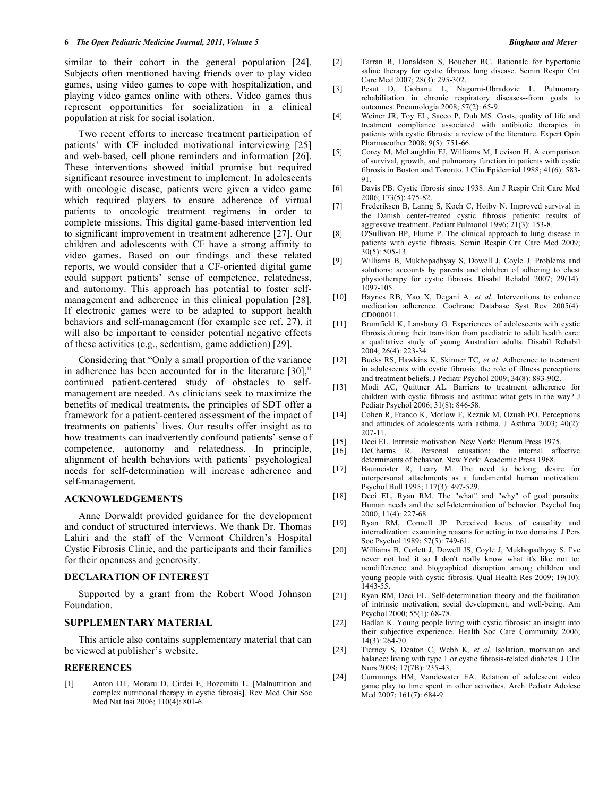similar to their cohort in the general population [24]. Subjects often mentioned having friends over to play video games, using video games to cope with hospitalization, and playing video games online with others. Video games thus represent opportunities for socialization in a clinical population at risk for social isolation.

 Two recent efforts to increase treatment participation of patients' with CF included motivational interviewing [25] and web-based, cell phone reminders and information [26]. These interventions showed initial promise but required significant resource investment to implement. In adolescents with oncologic disease, patients were given a video game which required players to ensure adherence of virtual patients to oncologic treatment regimens in order to complete missions. This digital game-based intervention led to significant improvement in treatment adherence [27]. Our children and adolescents with CF have a strong affinity to video games. Based on our findings and these related reports, we would consider that a CF-oriented digital game could support patients' sense of competence, relatedness, and autonomy. This approach has potential to foster selfmanagement and adherence in this clinical population [28]. If electronic games were to be adapted to support health behaviors and self-management (for example see ref. 27), it will also be important to consider potential negative effects of these activities (e.g., sedentism, game addiction) [29].

 Considering that "Only a small proportion of the variance in adherence has been accounted for in the literature [30]," continued patient-centered study of obstacles to selfmanagement are needed. As clinicians seek to maximize the benefits of medical treatments, the principles of SDT offer a framework for a patient-centered assessment of the impact of treatments on patients' lives. Our results offer insight as to how treatments can inadvertently confound patients' sense of competence, autonomy and relatedness. In principle, alignment of health behaviors with patients' psychological needs for self-determination will increase adherence and self-management.

## **ACKNOWLEDGEMENTS**

 Anne Dorwaldt provided guidance for the development and conduct of structured interviews. We thank Dr. Thomas Lahiri and the staff of the Vermont Children's Hospital Cystic Fibrosis Clinic, and the participants and their families for their openness and generosity.

# **DECLARATION OF INTEREST**

 Supported by a grant from the Robert Wood Johnson Foundation.

# **SUPPLEMENTARY MATERIAL**

 This article also contains supplementary material that can be viewed at publisher's website.

#### **REFERENCES**

[1] Anton DT, Moraru D, Cirdei E, Bozomitu L. [Malnutrition and complex nutritional therapy in cystic fibrosis]. Rev Med Chir Soc Med Nat Iasi 2006; 110(4): 801-6.

- [2] Tarran R, Donaldson S, Boucher RC. Rationale for hypertonic saline therapy for cystic fibrosis lung disease. Semin Respir Crit Care Med 2007; 28(3): 295-302.
- [3] Pesut D, Ciobanu L, Nagorni-Obradovic L. Pulmonary rehabilitation in chronic respiratory diseases--from goals to outcomes. Pneumologia 2008; 57(2): 65-9.
- [4] Weiner JR, Toy EL, Sacco P, Duh MS. Costs, quality of life and treatment compliance associated with antibiotic therapies in patients with cystic fibrosis: a review of the literature. Expert Opin Pharmacother 2008; 9(5): 751-66.
- [5] Corey M, McLaughlin FJ, Williams M, Levison H. A comparison of survival, growth, and pulmonary function in patients with cystic fibrosis in Boston and Toronto. J Clin Epidemiol 1988; 41(6): 583- 91.
- [6] Davis PB. Cystic fibrosis since 1938. Am J Respir Crit Care Med 2006; 173(5): 475-82.
- [7] Frederiksen B, Lanng S, Koch C, Hoiby N. Improved survival in the Danish center-treated cystic fibrosis patients: results of aggressive treatment. Pediatr Pulmonol 1996; 21(3): 153-8.
- [8] O'Sullivan BP, Flume P. The clinical approach to lung disease in patients with cystic fibrosis. Semin Respir Crit Care Med 2009; 30(5): 505-13.
- [9] Williams B, Mukhopadhyay S, Dowell J, Coyle J. Problems and solutions: accounts by parents and children of adhering to chest physiotherapy for cystic fibrosis. Disabil Rehabil 2007; 29(14): 1097-105.
- [10] Haynes RB, Yao X, Degani A*, et al.* Interventions to enhance medication adherence. Cochrane Database Syst Rev 2005(4): CD000011.
- [11] Brumfield K, Lansbury G. Experiences of adolescents with cystic fibrosis during their transition from paediatric to adult health care: a qualitative study of young Australian adults. Disabil Rehabil 2004; 26(4): 223-34.
- [12] Bucks RS, Hawkins K, Skinner TC*, et al.* Adherence to treatment in adolescents with cystic fibrosis: the role of illness perceptions and treatment beliefs. J Pediatr Psychol 2009; 34(8): 893-902.
- [13] Modi AC, Quittner AL. Barriers to treatment adherence for children with cystic fibrosis and asthma: what gets in the way? J Pediatr Psychol 2006; 31(8): 846-58.
- [14] Cohen R, Franco K, Motlow F, Reznik M, Ozuah PO. Perceptions and attitudes of adolescents with asthma. J Asthma 2003; 40(2): 207-11.
- [15] Deci EL. Intrinsic motivation. New York: Plenum Press 1975.
- [16] DeCharms R. Personal causation; the internal affective determinants of behavior. New York: Academic Press 1968.
- [17] Baumeister R, Leary M. The need to belong: desire for interpersonal attachments as a fundamental human motivation. Psychol Bull 1995; 117(3): 497-529.
- [18] Deci EL, Ryan RM. The "what" and "why" of goal pursuits: Human needs and the self-determination of behavior. Psychol Inq 2000; 11(4): 227-68.
- [19] Ryan RM, Connell JP. Perceived locus of causality and internalization: examining reasons for acting in two domains. J Pers Soc Psychol 1989; 57(5): 749-61.
- [20] Williams B, Corlett J, Dowell JS, Coyle J, Mukhopadhyay S. I've never not had it so I don't really know what it's like not to: nondifference and biographical disruption among children and young people with cystic fibrosis. Qual Health Res 2009; 19(10): 1443-55.
- [21] Ryan RM, Deci EL. Self-determination theory and the facilitation of intrinsic motivation, social development, and well-being. Am Psychol 2000; 55(1): 68-78.
- [22] Badlan K. Young people living with cystic fibrosis: an insight into their subjective experience. Health Soc Care Community 2006; 14(3): 264-70.
- [23] Tierney S, Deaton C, Webb K*, et al.* Isolation, motivation and balance: living with type 1 or cystic fibrosis-related diabetes. J Clin Nurs 2008; 17(7B): 235-43.
- [24] Cummings HM, Vandewater EA. Relation of adolescent video game play to time spent in other activities. Arch Pediatr Adolesc Med 2007; 161(7): 684-9.